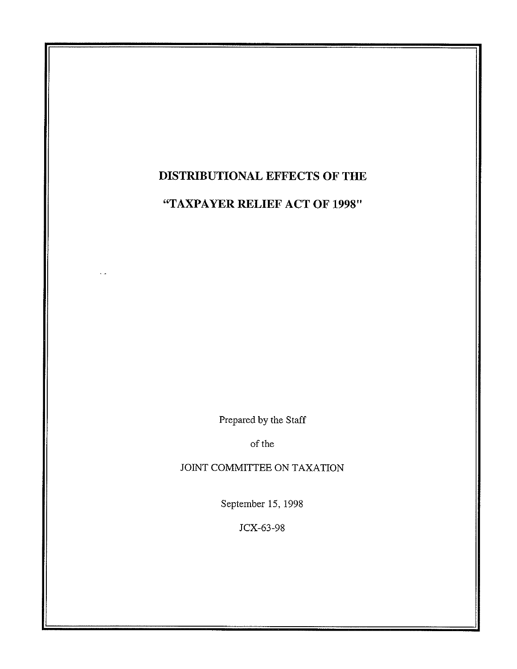# **DISTRIBUTIONAL EFFECTS OF THE**

**"TAXPAYER RELIEF ACT OF 1998"** 

Prepared by the Staff

of the

JOINT COMMITTEE ON TAXATION

September 15, 1998

JCX-63-98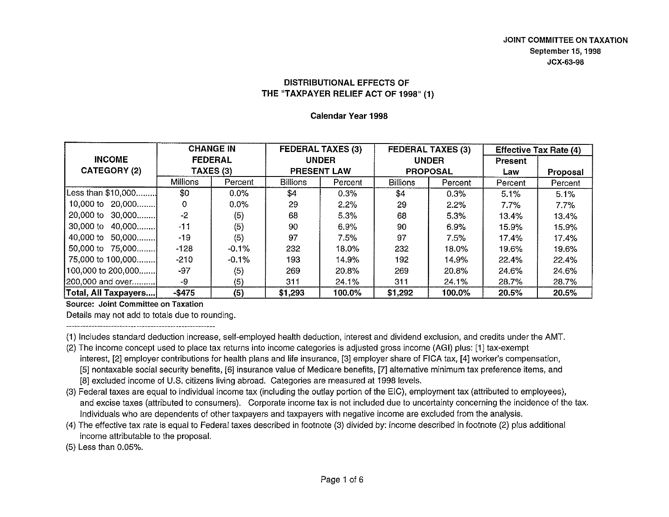**Calendar Year 1998** 

|                      | <b>CHANGE IN</b><br><b>FEDERAL</b> |           | <b>FEDERAL TAXES (3)</b><br><b>UNDER</b> |                    | <b>FEDERAL TAXES (3)</b><br><b>UNDER</b> |                 | <b>Effective Tax Rate (4)</b> |          |
|----------------------|------------------------------------|-----------|------------------------------------------|--------------------|------------------------------------------|-----------------|-------------------------------|----------|
| <b>INCOME</b>        |                                    |           |                                          |                    |                                          |                 | <b>Present</b>                |          |
| <b>CATEGORY (2)</b>  |                                    | TAXES (3) |                                          | <b>PRESENT LAW</b> |                                          | <b>PROPOSAL</b> |                               | Proposal |
|                      | <b>Millions</b>                    | Percent   | <b>Billions</b>                          | Percent            | <b>Billions</b>                          | Percent         | Percent                       | Percent  |
| Less than \$10,000   | \$0                                | 0.0%      | \$4                                      | 0.3%               | \$4                                      | 0.3%            | 5.1%                          | 5.1%     |
| 10,000 to 20,000     | 0                                  | $0.0\%$   | 29                                       | 2.2%               | 29                                       | 2.2%            | 7.7%                          | $7.7\%$  |
| 20,000 to 30,000     | $-2$                               | (5)       | 68                                       | 5.3%               | 68                                       | 5.3%            | 13.4%                         | 13.4%    |
| 30,000 to 40,000     | $-11$                              | (5)       | 90                                       | 6.9%               | 90                                       | 6.9%            | 15.9%                         | 15.9%    |
| 40,000 to 50,000     | $-19$                              | (5)       | 97                                       | 7.5%               | 97                                       | 7.5%            | 17.4%                         | 17.4%    |
| 50,000 to 75,000     | $-128$                             | $-0.1%$   | 232                                      | 18.0%              | 232                                      | 18.0%           | 19.6%                         | 19.6%    |
| 75,000 to 100,000    | $-210$                             | $-0.1%$   | 193                                      | 14.9%              | 192                                      | 14.9%           | 22.4%                         | 22.4%    |
| [100,000 to 200,000] | -97                                | (5)       | 269                                      | 20.8%              | 269                                      | 20.8%           | 24.6%                         | 24.6%    |
| [200,000 and over]   | -9                                 | (5)       | 311                                      | 24.1%              | 311                                      | 24.1%           | 28.7%                         | 28.7%    |
| Total, All Taxpayers | $-$ \$475                          | (5)       | \$1,293                                  | 100.0%             | \$1,292                                  | 100.0%          | 20.5%                         | 20.5%    |

**Source: Joint Committee on Taxation** 

Details may not add to totals due to rounding.

(1) Includes standard deduction increase, self-employed health deduction, interest and dividend exclusion, and credits under the AMT.

- (2) The income concept used to place tax returns into income categories is adjusted gross income (AGI) plus: [1] tax-exempt interest, [2] employer contributions for health plans and life insurance, [3] employer share of FICA tax, [4] worker's compensation, [5] nontaxable social security benefits, [6] insurance value of Medicare benefits, [7] alternative minimum tax preference items, and [8] excluded income of U.S. citizens living abroad. Categories are measured at 1998 levels.
- (3) Federal taxes are equal to individual income tax (including the outlay portion of the EiC), employment tax (attributed to employees), and excise taxes (attributed to consumers). Corporate income tax is not included due to uncertainty concerning the incidence of the tax. Individuals who are dependents of other taxpayers and taxpayers with negative income are excluded from the analysis.
- (4) The effective tax rate is equal to Federal taxes described in footnote (3) divided by: income described in footnote (2) plus additional income attributable to the proposal.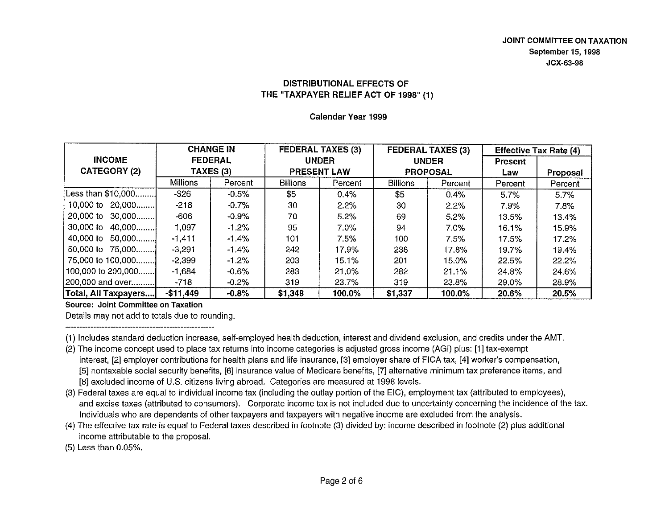Calendar Year 1999

|                      | <b>CHANGE IN</b> |                |                    | <b>FEDERAL TAXES (3)</b><br><b>UNDER</b> |                 | <b>FEDERAL TAXES (3)</b><br><b>UNDER</b> |         | <b>Effective Tax Rate (4)</b> |  |
|----------------------|------------------|----------------|--------------------|------------------------------------------|-----------------|------------------------------------------|---------|-------------------------------|--|
| <b>INCOME</b>        |                  | <b>FEDERAL</b> |                    |                                          |                 |                                          |         |                               |  |
| <b>CATEGORY (2)</b>  | TAXES (3)        |                | <b>PRESENT LAW</b> |                                          | <b>PROPOSAL</b> |                                          | Law     | Proposal                      |  |
|                      | <b>Millions</b>  | Percent        | <b>Billions</b>    | Percent                                  | <b>Billions</b> | Percent                                  | Percent | Percent                       |  |
| [Less than \$10,000] | $-$ \$26         | $-0.5%$        | \$5                | 0.4%                                     | \$5             | 0.4%                                     | 5.7%    | 5.7%                          |  |
| 10,000 to 20,000     | $-218$           | $-0.7\%$       | 30                 | 2.2%                                     | 30              | 2.2%                                     | 7.9%    | 7.8%                          |  |
| 20,000 to 30,000     | -606             | $-0.9\%$       | 70                 | 5.2%                                     | 69              | 5.2%                                     | 13.5%   | 13.4%                         |  |
| 30,000 to<br>40,000  | $-1,097$         | $-1.2%$        | 95                 | 7.0%                                     | 94              | 7.0%                                     | 16.1%   | 15.9%                         |  |
| 40,000 to 50,000     | $-1,411$         | -1.4%          | 101                | 7.5%                                     | 100             | 7.5%                                     | 17.5%   | 17.2%                         |  |
| 50,000 to 75,000     | $-3,291$         | -1.4%          | 242                | 17.9%                                    | 238             | 17.8%                                    | 19.7%   | 19.4%                         |  |
| 75,000 to 100,000    | $-2,399$         | $-1.2%$        | 203                | 15.1%                                    | 201             | 15.0%                                    | 22.5%   | 22.2%                         |  |
| 100,000 to 200,000   | $-1.684$         | $-0.6\%$       | 283                | 21.0%                                    | 282             | 21.1%                                    | 24 8%   | 24.6%                         |  |
| [200,000 and over]   | $-718$           | $-0.2%$        | 319                | 23.7%                                    | 319             | 23.8%                                    | 29.0%   | 28.9%                         |  |
| Total, All Taxpayers | $-$11,449$       | $-0.8%$        | \$1,348            | 100.0%                                   | \$1,337         | 100.0%                                   | 20.6%   | 20.5%                         |  |

**Source: Joint Committee on Taxation** 

Details may not add to totals due to rounding.

(1) Includes standard deduction increase, self-employed health deduction, interest and dividend exclusion, and credits under the AMT.

- (2) The income concept used to place tax returns into income categories is adjusted gross income (AGI) plus: [1] tax-exempt interest, [2] employer contributions for health plans and life insurance, [3] employer share of FICA tax, [4] worker's compensation, [5] nontaxable social security benefits, [6] insurance value of Medicare benefits, [7] alternative minimum tax preference items, and [8] excluded income of U.S. citizens living abroad. Categories are measured at 1998 levels.
- (3) Federal taxes are equal to individual income tax (including the outlay portion of the EiC), employment tax (attributed to employees), and excise taxes (attributed to consumers). Corporate income tax is not included due to uncertainty concerning the incidence of the tax. Individuals who are dependents of other taxpayers and taxpayers with negative income are excluded from the analysis.
- (4) The effective tax rate is equal to Federal taxes described in footnote (3) divided by: income described in footnote (2) plus additional income attributable to the proposal.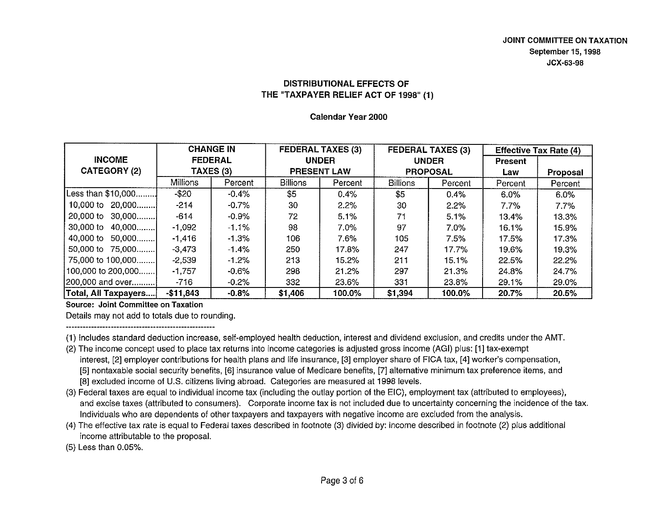Calendar Year 2000

|                                       | <b>CHANGE IN</b><br><b>INCOME</b><br><b>FEDERAL</b> |          |                    | <b>FEDERAL TAXES (3)</b> |                 | <b>FEDERAL TAXES (3)</b> |         | <b>Effective Tax Rate (4)</b> |
|---------------------------------------|-----------------------------------------------------|----------|--------------------|--------------------------|-----------------|--------------------------|---------|-------------------------------|
|                                       |                                                     |          | <b>UNDER</b>       |                          | <b>UNDER</b>    |                          | Present |                               |
| <b>CATEGORY (2)</b>                   | TAXES (3)                                           |          | <b>PRESENT LAW</b> |                          | <b>PROPOSAL</b> |                          | Law     | Proposal                      |
|                                       | Millions                                            | Percent  | <b>Billions</b>    | Percent                  | <b>Billions</b> | Percent                  | Percent | Percent                       |
| Less than \$10,000                    | $-$ \$20                                            | $-0.4%$  | \$5                | 0.4%                     | \$5             | 0.4%                     | 6.0%    | 6.0%                          |
| 10,000 to 20,000                      | $-214$                                              | -0.7%    | 30                 | $2.2\%$                  | 30              | 2.2%                     | 7.7%    | 7.7%                          |
| 20,000 to 30,000                      | $-614$                                              | -0.9%    | 72                 | 5.1%                     | 71              | 5.1%                     | 13.4%   | 13.3%                         |
| 30,000 to 40,000                      | $-1,092$                                            | $-1.1\%$ | 98                 | 7.0%                     | 97              | $7.0\%$                  | 16.1%   | 15.9%                         |
| 40,000 to 50,000                      | $-1,416$                                            | $-1.3\%$ | 106                | 7.6%                     | 105             | 7.5%                     | 17.5%   | 17.3%                         |
| 50,000 to 75,000                      | $-3,473$                                            | $-1.4\%$ | 250                | 17.8%                    | 247             | 17.7%                    | 19.6%   | 19.3%                         |
| 75,000 to 100,000                     | $-2,539$                                            | $-1.2%$  | 213                | 15.2%                    | 211             | 15.1%                    | 22.5%   | 22.2%                         |
| $[100,000 \text{ to } 200,000 \dots]$ | $-1.757$                                            | -0.6%    | 298                | 21.2%                    | 297             | 21.3%                    | 24.8%   | 24.7%                         |
| [200,000 and over]                    | -716                                                | $-0.2%$  | 332                | 23.6%                    | 331             | 23.8%                    | 29.1%   | 29.0%                         |
| Total, All Taxpayers                  | $-$11,843$                                          | $-0.8%$  | \$1,406            | 100.0%                   | \$1,394         | 100.0%                   | 20.7%   | 20.5%                         |

Source: Joint Committee on Taxation

Details may not add to totals due to rounding.

(1) Includes standard deduction increase, self-employed health deduction, interest and dividend exclusion, and credits under the AMT.

- (2) The income concept used to place tax returns into income categories is adjusted gross income (AGI) plus: [1] tax-exempt interest, [2] employer contributions for health plans and life insurance, [3] employer share of FICA tax, [4] worker's compensation, [5] nontaxable social security benefits, [6] insurance value of Medicare benefits, [7] alternative minimum tax preference items, and [8] excluded income of U.S. citizens living abroad. Categories are measured at 1998 levels.
- (3) Federal taxes are equal to individual income tax (including the outlay portion of the EiC), employment tax (attributed to employees), and excise taxes (attributed to consumers). Corporate income tax is not included due to uncertainty concerning the incidence of the tax. Individuals who are dependents of other taxpayers and taxpayers with negative income are excluded from the analysis.
- (4) The effective tax rate is equal to Federal taxes described in footnote (3) divided by: income described in footnote (2) plus additional income attributable to the proposal.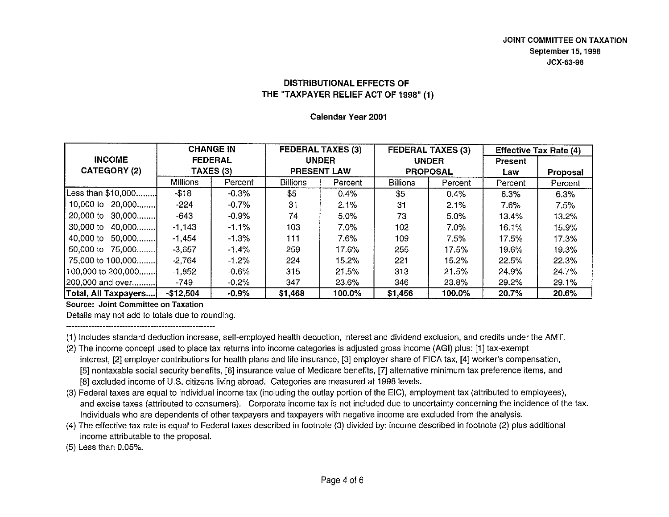Calendar Year 2001

|                      |                 | <b>CHANGE IN</b> |                    | <b>FEDERAL TAXES (3)</b> | <b>FEDERAL TAXES (3)</b> |              |                | <b>Effective Tax Rate (4)</b> |
|----------------------|-----------------|------------------|--------------------|--------------------------|--------------------------|--------------|----------------|-------------------------------|
| <b>INCOME</b>        |                 | <b>FEDERAL</b>   |                    | <b>UNDER</b>             |                          | <b>UNDER</b> | <b>Present</b> |                               |
| <b>CATEGORY (2)</b>  |                 | TAXES (3)        | <b>PRESENT LAW</b> |                          | <b>PROPOSAL</b>          |              | Law            | <b>Proposal</b>               |
|                      | <b>Millions</b> | Percent          | <b>Billions</b>    | Percent                  | <b>Billions</b>          | Percent      | Percent        | Percent                       |
| Less than \$10,000   | $-118$          | $-0.3%$          | \$5                | 0.4%                     | \$5                      | 0.4%         | 6.3%           | 6.3%                          |
| 10,000 to 20,000     | $-224$          | $-0.7\%$         | 31                 | 2.1%                     | 31                       | 2.1%         | 7.6%           | 7.5%                          |
| 20,000 to 30,000     | -643            | $-0.9%$          | 74                 | 5.0%                     | 73                       | 5.0%         | 13.4%          | 13.2%                         |
| 30,000 to 40,000     | $-1,143$        | $-1.1\%$         | 103                | 7.0%                     | 102                      | 7.0%         | 16.1%          | 15.9%                         |
| 40,000 to 50,000     | $-1,454$        | $-1.3%$          | 111                | 7.6%                     | 109                      | 7.5%         | 17.5%          | 17.3%                         |
| 50,000 to 75,000     | $-3,657$        | $-1.4%$          | 259                | 17.6%                    | 255                      | 17.5%        | 19.6%          | 19.3%                         |
| 75,000 to 100,000    | -2.764          | $-1.2\%$         | 224                | 15.2%                    | 221                      | 15.2%        | 22.5%          | 22.3%                         |
| [100,000 to 200,000] | $-1,852$        | $-0.6%$          | 315                | 21.5%                    | 313                      | 21.5%        | 24.9%          | 24.7%                         |
| [200,000 and over]   | -749            | $-0.2%$          | 347                | 23.6%                    | 346                      | 23.8%        | 29.2%          | 29.1%                         |
| Total, All Taxpayers | $-$12.504$      | $-0.9\%$         | \$1,468            | 100.0%                   | \$1,456                  | 100.0%       | 20.7%          | 20.6%                         |

Source: Joint Committee on Taxation

Details may not add to totals due to rounding.

(1) Includes standard deduction increase, sell-employed health deduction, interest and dividend exclusion, and credits under the AMT.

- (2) The income concept used to place tax returns into income categories is adjusted gross income (AGI) plus: [1] tax-exempt interest, [2] employer contributions for health plans and life insurance, [3] employer share of FICA tax, [4] worker's compensation, [5] nontaxable social security benefits, [6] insurance value of Medicare benefits, [7] alternative minimum tax preference items, and [BJ excluded income of U.S. citizens living abroad. Categories are measured at 1998 levels.
- (3) Federal taxes are equal to individual income tax (including the outlay portion of the EiC}, employment tax (attributed to employees}, and excise taxes (attributed to consumers). Corporate income tax is not included due to uncertainty concerning the incidence of the tax. Individuals who are dependents of other taxpayers and taxpayers with negative income are excluded from the analysis.
- (4) The effective tax rate is equal to Federal taxes described in footnote (3) divided by: income described in footnote {2} plus additional income attributable to the proposal.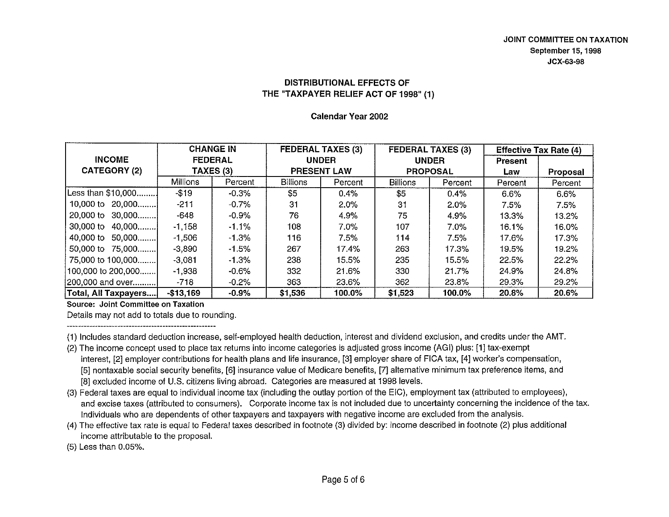Calendar Year 2002

|                      | <b>CHANGE IN</b><br><b>FEDERAL</b> |          |                    | <b>FEDERAL TAXES (3)</b> |                 | <b>FEDERAL TAXES (3)</b> |                | <b>Effective Tax Rate (4)</b> |
|----------------------|------------------------------------|----------|--------------------|--------------------------|-----------------|--------------------------|----------------|-------------------------------|
| <b>INCOME</b>        |                                    |          | <b>UNDER</b>       |                          | <b>UNDER</b>    |                          | <b>Present</b> |                               |
| <b>CATEGORY (2)</b>  | TAXES (3)                          |          | <b>PRESENT LAW</b> |                          | <b>PROPOSAL</b> |                          | Law            | Proposal                      |
|                      | <b>Millions</b>                    | Percent  | <b>Billions</b>    | Percent                  | <b>Billions</b> | Percent                  | Percent        | Percent                       |
| Less than \$10,000   | $-$19$                             | -0.3%    | \$5                | 0.4%                     | \$5             | 0.4%                     | 6.6%           | 6.6%                          |
| 10,000 to 20,000     | $-211$                             | -0.7%    | 31                 | $2.0\%$                  | 31              | $2.0\%$                  | 7.5%           | 7.5%                          |
| 20,000 to $30,000$   | $-648$                             | -0.9%    | 76                 | 4.9%                     | 75              | 4.9%                     | 13.3%          | 13.2%                         |
| 30,000 to 40,000     | $-1,158$                           | $-1.1\%$ | 108                | $7.0\%$                  | 107             | $7.0\%$                  | 16.1%          | 16.0%                         |
| 40,000 to 50,000     | $-1,506$                           | $-1.3%$  | 116                | 7.5%                     | 114             | 7.5%                     | 17.6%          | 17.3%                         |
| 50,000 to 75,000     | $-3,890$                           | -1.5%    | 267                | 17.4%                    | 263             | 17.3%                    | 19.5%          | 19.2%                         |
| 75,000 to 100,000    | $-3,081$                           | $-1.3\%$ | 238                | 15.5%                    | 235             | 15.5%                    | 22.5%          | 22.2%                         |
| 100,000 to 200,000   | $-1,938$                           | -0.6%    | 332                | 21.6%                    | 330             | 21.7%                    | 24.9%          | 24.8%                         |
| [200,000 and over]   | -718                               | $-0.2%$  | 363                | 23.6%                    | 362             | 23.8%                    | 29.3%          | 29.2%                         |
| Total, All Taxpayers | $-$13,169$                         | $-0.9%$  | \$1,536            | 100.0%                   | \$1,523         | 100.0%                   | 20.8%          | 20.6%                         |

Source: Joint Committee on Taxation

Details may not add to totals due to rounding.

(1) Includes standard deduction increase, self-employed health deduction, interest and dividend exclusion, and credits under the AMT.

- (2) The income concept used to place tax returns into income categories is adjusted gross income (AGI) plus: [1] tax-exempt interest, [2] employer contributions for health plans and life insurance, [3] employer share of FICA tax, [4] worker's compensation, [5] nontaxable social security benefits, [6] insurance value of Medicare benefits, [7] alternative minimum tax preference items, and [8] excluded income of U.S. citizens living abroad. Categories are measured at 1998 levels.
- (3) Federal taxes are equal to individual income tax (including the outlay portion of the EiC), employment tax (attributed to employees), and excise taxes (attributed to consumers). Corporate income tax is not included due to uncertainty concerning the incidence of the tax. Individuals who are dependents of other taxpayers and taxpayers with negative income are excluded from the analysis.
- (4) The effective tax rate is equal to Federal taxes described in footnote (3) divided by: income described in footnote (2) plus additional income attributable to the proposal.